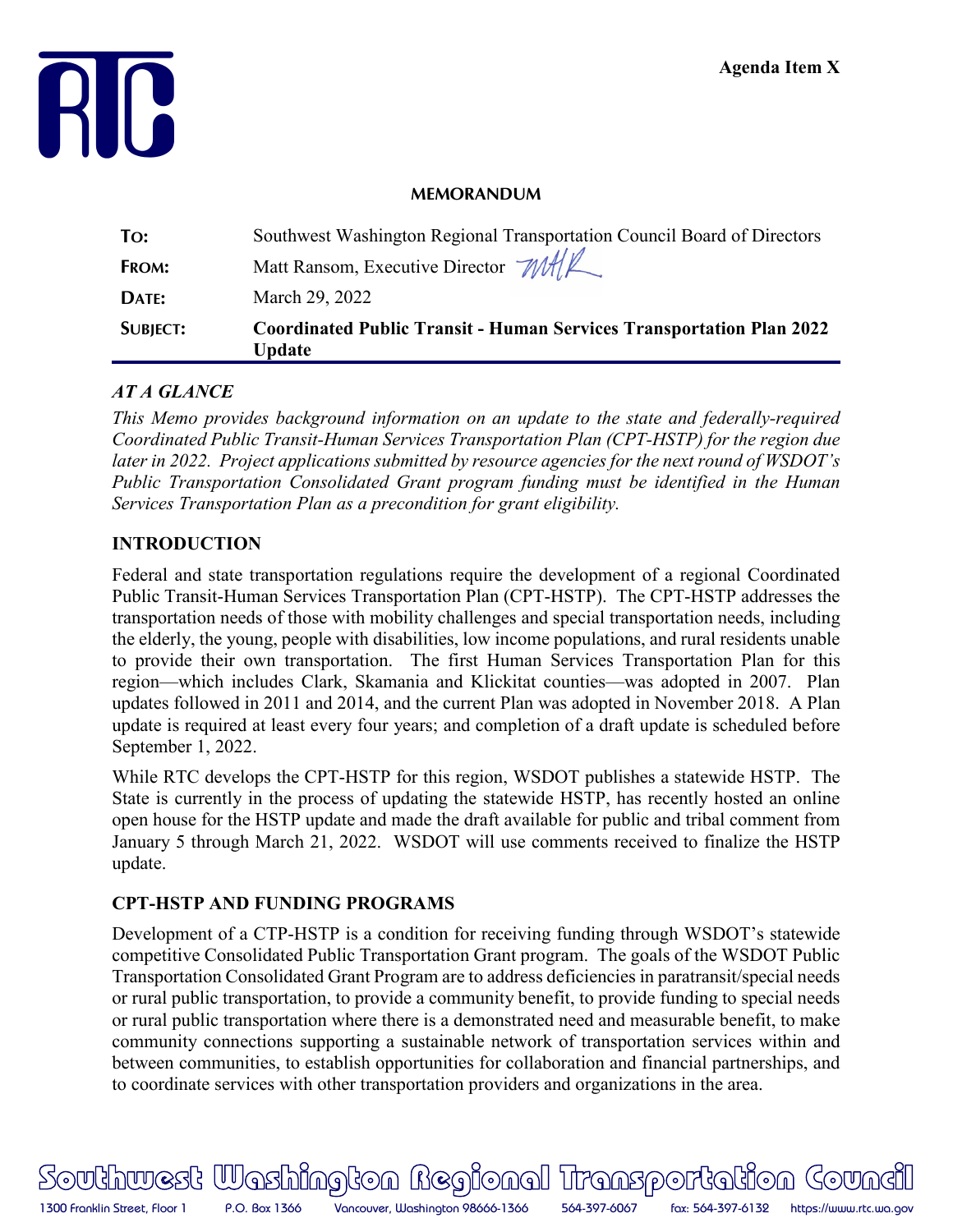

#### **MEMORANDUM**

|                 | Update                                                                      |  |
|-----------------|-----------------------------------------------------------------------------|--|
| <b>SUBJECT:</b> | <b>Coordinated Public Transit - Human Services Transportation Plan 2022</b> |  |
| DATE:           | March 29, 2022                                                              |  |
| FROM:           | Matt Ransom, Executive Director MAR                                         |  |
| To:             | Southwest Washington Regional Transportation Council Board of Directors     |  |

# *AT A GLANCE*

*This Memo provides background information on an update to the state and federally-required Coordinated Public Transit-Human Services Transportation Plan (CPT-HSTP) for the region due later in 2022. Project applications submitted by resource agencies for the next round of WSDOT's Public Transportation Consolidated Grant program funding must be identified in the Human Services Transportation Plan as a precondition for grant eligibility.* 

# **INTRODUCTION**

Federal and state transportation regulations require the development of a regional Coordinated Public Transit-Human Services Transportation Plan (CPT-HSTP). The CPT-HSTP addresses the transportation needs of those with mobility challenges and special transportation needs, including the elderly, the young, people with disabilities, low income populations, and rural residents unable to provide their own transportation. The first Human Services Transportation Plan for this region—which includes Clark, Skamania and Klickitat counties—was adopted in 2007. Plan updates followed in 2011 and 2014, and the current Plan was adopted in November 2018. A Plan update is required at least every four years; and completion of a draft update is scheduled before September 1, 2022.

While RTC develops the CPT-HSTP for this region, WSDOT publishes a statewide HSTP. The State is currently in the process of updating the statewide HSTP, has recently hosted an online open house for the HSTP update and made the draft available for public and tribal comment from January 5 through March 21, 2022. WSDOT will use comments received to finalize the HSTP update.

# **CPT-HSTP AND FUNDING PROGRAMS**

Development of a CTP-HSTP is a condition for receiving funding through WSDOT's statewide competitive Consolidated Public Transportation Grant program. The goals of the WSDOT Public Transportation Consolidated Grant Program are to address deficiencies in paratransit/special needs or rural public transportation, to provide a community benefit, to provide funding to special needs or rural public transportation where there is a demonstrated need and measurable benefit, to make community connections supporting a sustainable network of transportation services within and between communities, to establish opportunities for collaboration and financial partnerships, and to coordinate services with other transportation providers and organizations in the area.

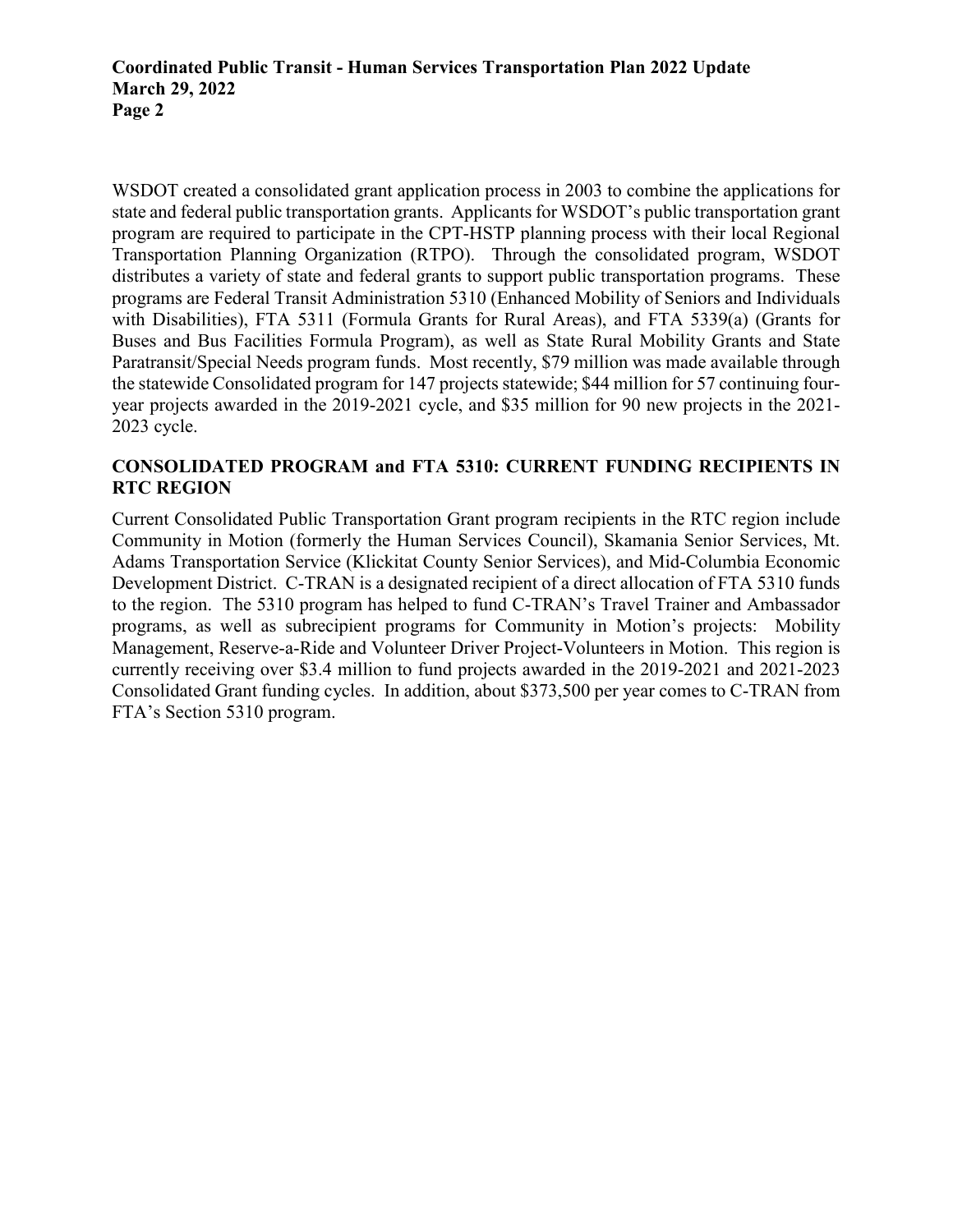WSDOT created a consolidated grant application process in 2003 to combine the applications for state and federal public transportation grants. Applicants for WSDOT's public transportation grant program are required to participate in the CPT-HSTP planning process with their local Regional Transportation Planning Organization (RTPO). Through the consolidated program, WSDOT distributes a variety of state and federal grants to support public transportation programs. These programs are Federal Transit Administration 5310 (Enhanced Mobility of Seniors and Individuals with Disabilities), FTA 5311 (Formula Grants for Rural Areas), and FTA 5339(a) (Grants for Buses and Bus Facilities Formula Program), as well as State Rural Mobility Grants and State Paratransit/Special Needs program funds. Most recently, \$79 million was made available through the statewide Consolidated program for 147 projects statewide; \$44 million for 57 continuing fouryear projects awarded in the 2019-2021 cycle, and \$35 million for 90 new projects in the 2021- 2023 cycle.

# **CONSOLIDATED PROGRAM and FTA 5310: CURRENT FUNDING RECIPIENTS IN RTC REGION**

Current Consolidated Public Transportation Grant program recipients in the RTC region include Community in Motion (formerly the Human Services Council), Skamania Senior Services, Mt. Adams Transportation Service (Klickitat County Senior Services), and Mid-Columbia Economic Development District. C-TRAN is a designated recipient of a direct allocation of FTA 5310 funds to the region. The 5310 program has helped to fund C-TRAN's Travel Trainer and Ambassador programs, as well as subrecipient programs for Community in Motion's projects: Mobility Management, Reserve-a-Ride and Volunteer Driver Project-Volunteers in Motion. This region is currently receiving over \$3.4 million to fund projects awarded in the 2019-2021 and 2021-2023 Consolidated Grant funding cycles. In addition, about \$373,500 per year comes to C-TRAN from FTA's Section 5310 program.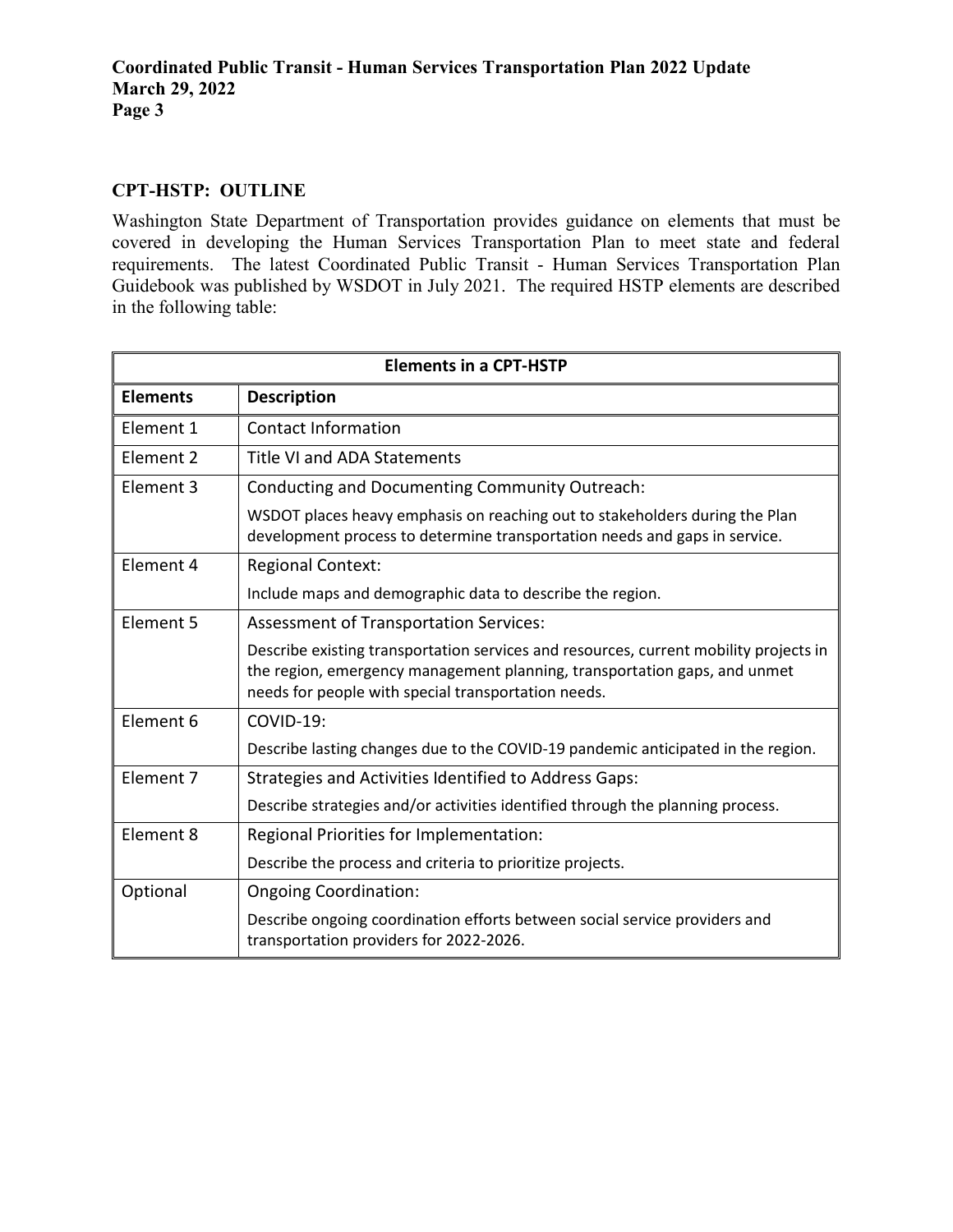# **CPT-HSTP: OUTLINE**

Washington State Department of Transportation provides guidance on elements that must be covered in developing the Human Services Transportation Plan to meet state and federal requirements. The latest Coordinated Public Transit - Human Services Transportation Plan Guidebook was published by WSDOT in July 2021. The required HSTP elements are described in the following table:

| <b>Elements in a CPT-HSTP</b> |                                                                                                                                                                                                                           |  |
|-------------------------------|---------------------------------------------------------------------------------------------------------------------------------------------------------------------------------------------------------------------------|--|
| <b>Elements</b>               | <b>Description</b>                                                                                                                                                                                                        |  |
| Element 1                     | <b>Contact Information</b>                                                                                                                                                                                                |  |
| Element 2                     | <b>Title VI and ADA Statements</b>                                                                                                                                                                                        |  |
| Element 3                     | Conducting and Documenting Community Outreach:                                                                                                                                                                            |  |
|                               | WSDOT places heavy emphasis on reaching out to stakeholders during the Plan<br>development process to determine transportation needs and gaps in service.                                                                 |  |
| Element 4                     | <b>Regional Context:</b>                                                                                                                                                                                                  |  |
|                               | Include maps and demographic data to describe the region.                                                                                                                                                                 |  |
| Element 5                     | <b>Assessment of Transportation Services:</b>                                                                                                                                                                             |  |
|                               | Describe existing transportation services and resources, current mobility projects in<br>the region, emergency management planning, transportation gaps, and unmet<br>needs for people with special transportation needs. |  |
| Element 6                     | COVID-19:                                                                                                                                                                                                                 |  |
|                               | Describe lasting changes due to the COVID-19 pandemic anticipated in the region.                                                                                                                                          |  |
| Element 7                     | Strategies and Activities Identified to Address Gaps:                                                                                                                                                                     |  |
|                               | Describe strategies and/or activities identified through the planning process.                                                                                                                                            |  |
| Element 8                     | Regional Priorities for Implementation:                                                                                                                                                                                   |  |
|                               | Describe the process and criteria to prioritize projects.                                                                                                                                                                 |  |
| Optional                      | <b>Ongoing Coordination:</b>                                                                                                                                                                                              |  |
|                               | Describe ongoing coordination efforts between social service providers and<br>transportation providers for 2022-2026.                                                                                                     |  |